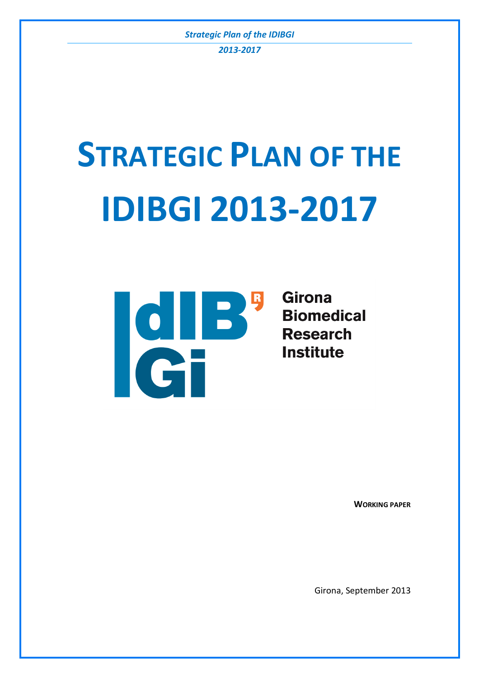# **STRATEGIC PLAN OF THE IDIBGI 2013-2017**



**Girona Biomedical Research Institute** 

**WORKING PAPER**

Girona, September 2013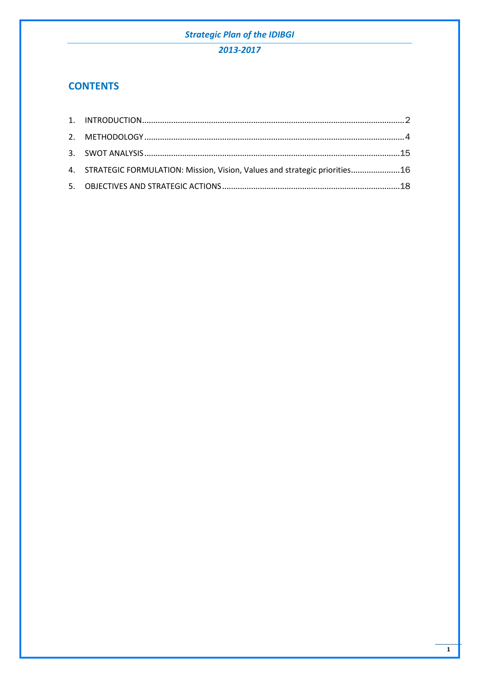2013-2017

# **CONTENTS**

| 4. STRATEGIC FORMULATION: Mission, Vision, Values and strategic priorities16 |  |
|------------------------------------------------------------------------------|--|
|                                                                              |  |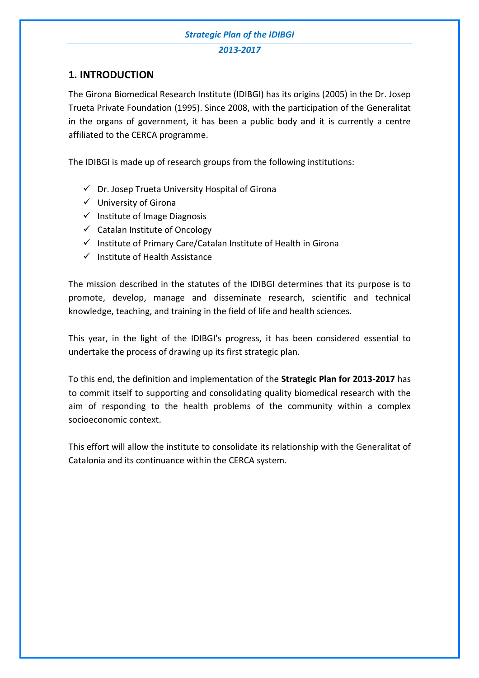#### *2013-2017*

# **1. INTRODUCTION**

The Girona Biomedical Research Institute (IDIBGI) has its origins (2005) in the Dr. Josep Trueta Private Foundation (1995). Since 2008, with the participation of the Generalitat in the organs of government, it has been a public body and it is currently a centre affiliated to the CERCA programme.

The IDIBGI is made up of research groups from the following institutions:

- $\checkmark$  Dr. Josep Trueta University Hospital of Girona
- $\checkmark$  University of Girona
- $\checkmark$  Institute of Image Diagnosis
- $\checkmark$  Catalan Institute of Oncology
- $\checkmark$  Institute of Primary Care/Catalan Institute of Health in Girona
- $\checkmark$  Institute of Health Assistance

The mission described in the statutes of the IDIBGI determines that its purpose is to promote, develop, manage and disseminate research, scientific and technical knowledge, teaching, and training in the field of life and health sciences.

This year, in the light of the IDIBGI's progress, it has been considered essential to undertake the process of drawing up its first strategic plan.

To this end, the definition and implementation of the **Strategic Plan for 2013-2017** has to commit itself to supporting and consolidating quality biomedical research with the aim of responding to the health problems of the community within a complex socioeconomic context.

This effort will allow the institute to consolidate its relationship with the Generalitat of Catalonia and its continuance within the CERCA system.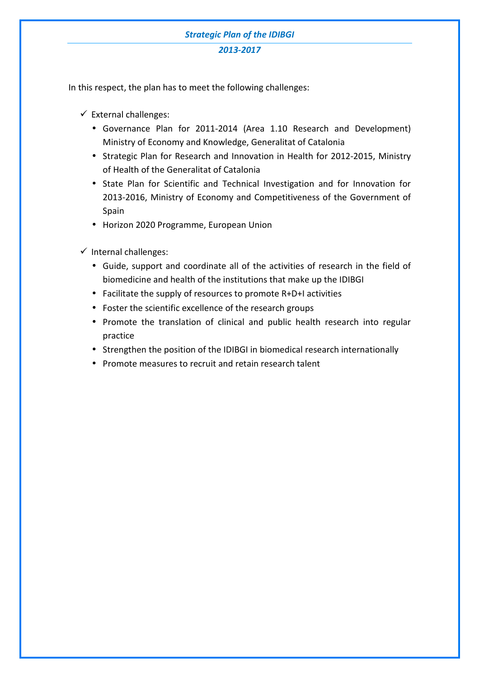# *2013-2017*

In this respect, the plan has to meet the following challenges:

- $\checkmark$  External challenges:
	- Governance Plan for 2011-2014 (Area 1.10 Research and Development) Ministry of Economy and Knowledge, Generalitat of Catalonia
	- Strategic Plan for Research and Innovation in Health for 2012-2015, Ministry of Health of the Generalitat of Catalonia
	- State Plan for Scientific and Technical Investigation and for Innovation for 2013-2016, Ministry of Economy and Competitiveness of the Government of Spain
	- Horizon 2020 Programme, European Union

 $\checkmark$  Internal challenges:

- Guide, support and coordinate all of the activities of research in the field of biomedicine and health of the institutions that make up the IDIBGI
- Facilitate the supply of resources to promote R+D+I activities
- Foster the scientific excellence of the research groups
- Promote the translation of clinical and public health research into regular practice
- Strengthen the position of the IDIBGI in biomedical research internationally
- Promote measures to recruit and retain research talent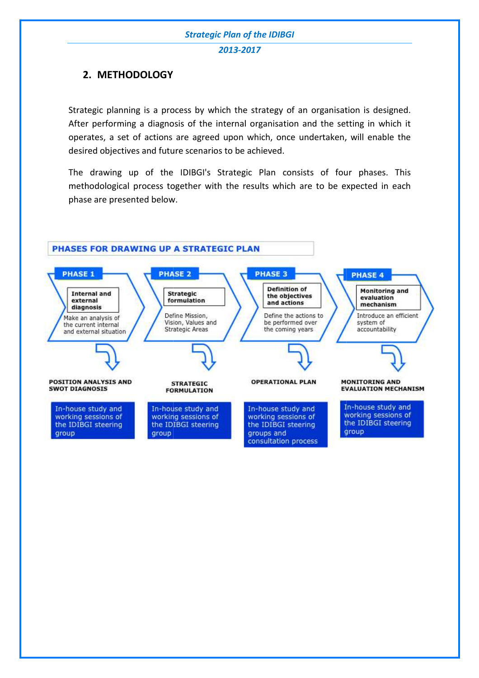#### *2013-2017*

# **2. METHODOLOGY**

Strategic planning is a process by which the strategy of an organisation is designed. After performing a diagnosis of the internal organisation and the setting in which it operates, a set of actions are agreed upon which, once undertaken, will enable the desired objectives and future scenarios to be achieved.

The drawing up of the IDIBGI's Strategic Plan consists of four phases. This methodological process together with the results which are to be expected in each phase are presented below.

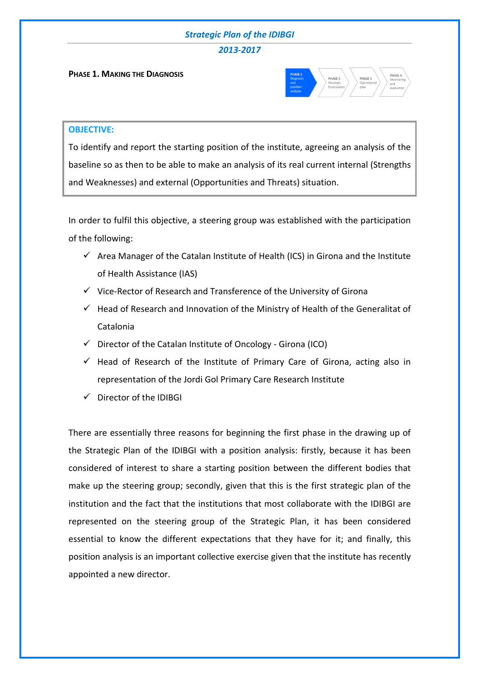*2013-2017*

**PHASE 1. MAKING THE DIAGNOSIS**



#### **OBJECTIVE:**

To identify and report the starting position of the institute, agreeing an analysis of the To identify and report the starting position of the institute, agreeing an analysis of the<br>baseline so as then to be able to make an analysis of its real current internal (Strengths and Weaknesses) and external (Opportunities and Threats) situation.

In order to fulfil this objective, a steering group was established with the participation of the following:

- $\checkmark$  Area Manager of the Catalan Institute of Health (ICS) in Girona and the Institute of Health Assistance (IAS)
- $\checkmark$  Vice-Rector of Research and Transference of the University of Girona
- ← Head of Research and Innovation of the Ministry of Health of the Generalitat of<br>
Catalonia<br>
← Director of the Catalan Institute of Oncology Girona (ICO) Catalonia
- $\checkmark$  Director of the Catalan Institute of Oncology Girona (ICO)
- $\checkmark$  Head of Research of the Institute of Primary Care of Girona, acting also in representation of the Jordi Gol Primary Care Research Institute
- $\checkmark$  Director of the IDIBGI

There are essentially three reasons for beginning the first phase in the drawing up of the Strategic Plan of the IDIBGI with a position analysis: firstly, because it has been considered of interest to share a starting position between the different bodies that make up the steering group; secondly, given that this is the first strategic plan of the institution and the fact that the institutions that most collaborate with the IDIBGI are represented on the steering group of the Strategic Plan, it has been considered essential to know the different expectations that they have for it; and finally, this position analysis is an important collective exercise given that the institute has recently appointed a new director. earch of the Institute of Primary Care of Girona, aon<br>on of the Jordi Gol Primary Care Research Institute<br>ne IDIBGI<br>y three reasons for beginning the first phase in the dr<br>f the IDIBGI with a position analysis: firstly, be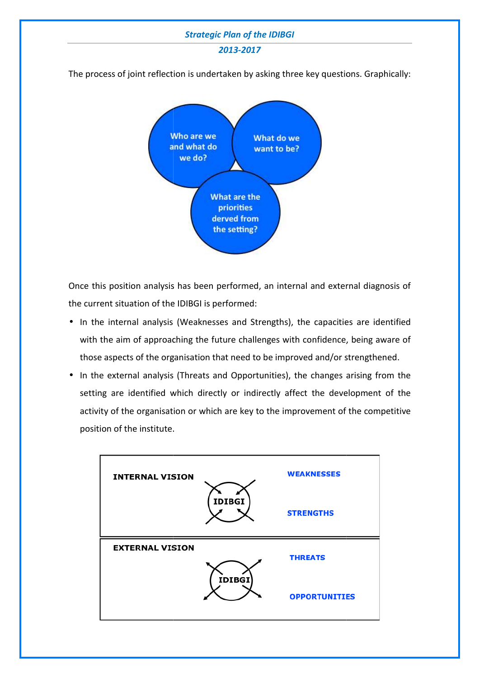*2013-2017*

The process of joint reflection is undertaken by asking three key questions. Graphically:



Once this position analysis has been performed, an internal and external diagnosis of the current situation of the IDIBGI is performed:

- In the internal analysis (Weaknesses and Strengths), the capacities are identified with the aim of approaching the future challenges with confidence, being aware of those aspects of the organisation that need to be improved and/or strengthened.
- In the external analysis (Threats and Opportunities), the changes arising from the setting are identified which directly or indirectly affect the development of the activity of the organisation or which are key to the improvement of the competitive position of the institute.

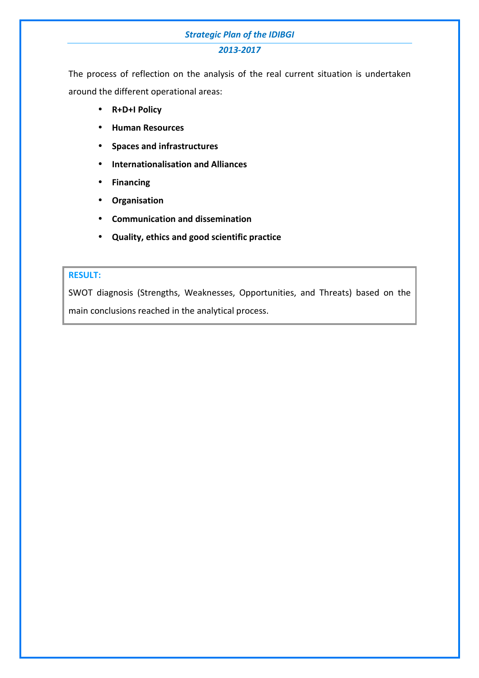# *2013-2017*

The process of reflection on the analysis of the real current situation is undertaken around the different operational areas:

- **R+D+I Policy**
- **Human Resources**
- **Spaces and infrastructures**
- **Internationalisation and Alliances**
- **Financing**
- **Organisation**
- **Communication and dissemination**
- **Quality, ethics and good scientific practice**

# **RESULT:**

SWOT diagnosis (Strengths, Weaknesses, Opportunities, and Threats) based on the main conclusions reached in the analytical process.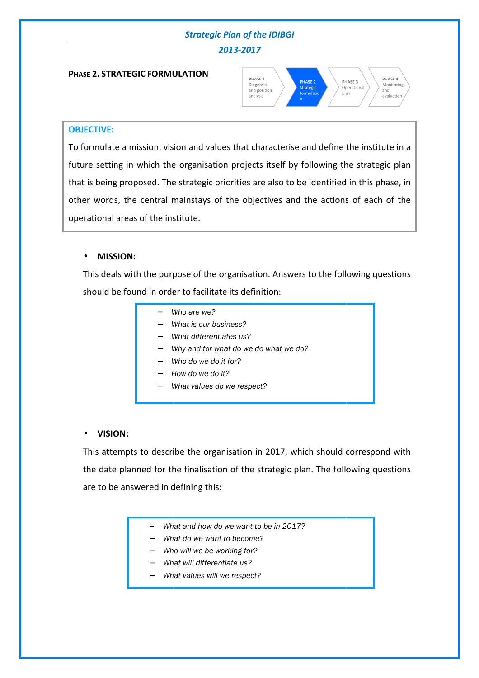*2013-2017*

#### **PHASE 2. STRATEGIC FORMULATION**



PHASE 4

## **OBJECTIVE:**

To formulate a mission, vision and values that characterise and define the institute in a future setting in which the organisation projects itself by following the strategic plan that is being proposed. The strategic priorities are also to be identified in this phase, in other words, the central mainstays of the objectives and the actions of each of the operational areas of the institute.

# • **MISSION:**

This deals with the purpose of the organisation. Answers to the following questions should be found in order to facilitate its definition:

- − *What is our business?*
- − *What differentiates us?*
- − *Why and for what do we do what we do?*
- − *Who do we do it for?*
- − *How do we do it?*
- − *What values do we respect?*

#### • **VISION:**

This attempts to describe the organisation in 2017, which should correspond with the date planned for the finalisation of the strategic plan. The following questions are to be answered in defining this:

- − *What and how do we want to be in 2017?*
- − *What do we want to become?*
- − *Who will we be working for?*
- − *What will differentiate us?*
- − *What values will we respect?*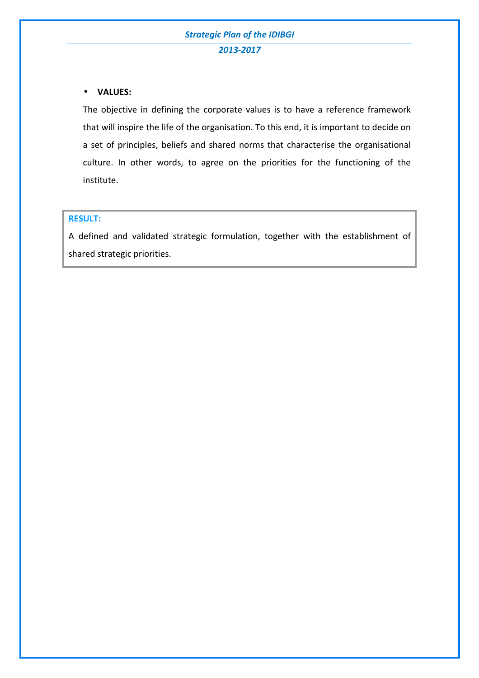#### • **VALUES:**

The objective in defining the corporate values is to have a reference framework that will inspire the life of the organisation. To this end, it is important to decide on a set of principles, beliefs and shared norms that characterise the organisational culture. In other words, to agree on the priorities for the functioning of the institute.

# **RESULT:**

A defined and validated strategic formulation, together with the establishment of shared strategic priorities.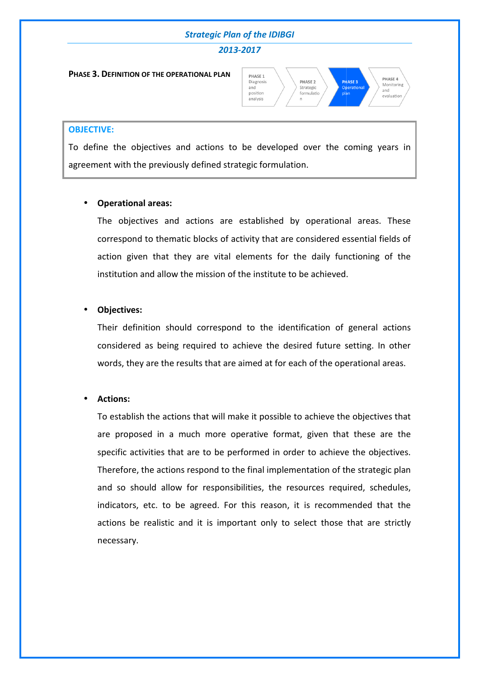### *2013-2017*

**PHASE 3. DEFINITION OF THE OPERATIONAL PLAN** 



## **OBJECTIVE:**

To define the objectives and actions to be developed over the coming years in agreement with the previously defined strategic formulation.

#### • **Operational areas:**

The objectives and actions are established by operational areas. These correspond to thematic blocks of activity that are considered essential fields of action given that they are vital elements for the daily functioning of the institution and allow the mission of the institute to be achieved.

#### • **Objectives:**

Their definition should correspond to the identification of general actions considered as being required to achieve the desired future setting words, they are the results that are aimed at for each of the operational areas. l.<br>general actions<br>setting. In other

#### • **Actions:**

To establish the actions that will make it possible to achieve the objectives that are proposed in a much more operative format, given that these are the specific activities that are to be performed in order to achieve the objectives. Therefore, the actions respond to the final implementation of the strategic plan and so should allow for responsibilities, the resources required, schedules, indicators, etc. to be agreed. For this reason, it is recommended that the actions be realistic and it is important only to select those that are strictly necessary.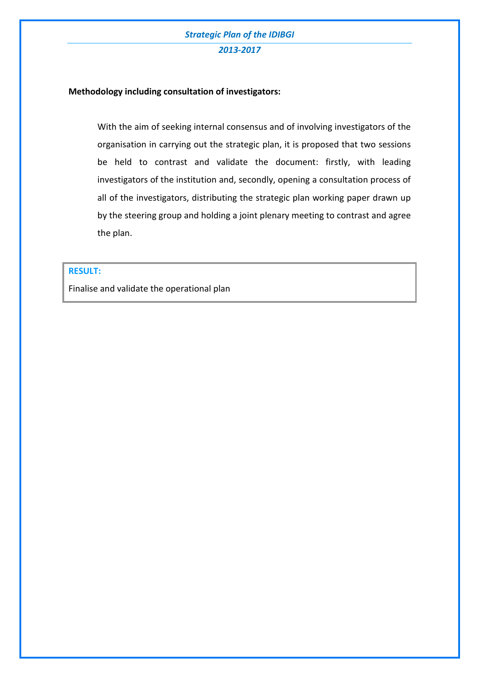#### **Methodology including consultation of investigators:**

With the aim of seeking internal consensus and of involving investigators of the organisation in carrying out the strategic plan, it is proposed that two sessions be held to contrast and validate the document: firstly, with leading investigators of the institution and, secondly, opening a consultation process of all of the investigators, distributing the strategic plan working paper drawn up by the steering group and holding a joint plenary meeting to contrast and agree the plan.

# **RESULT:**

Finalise and validate the operational plan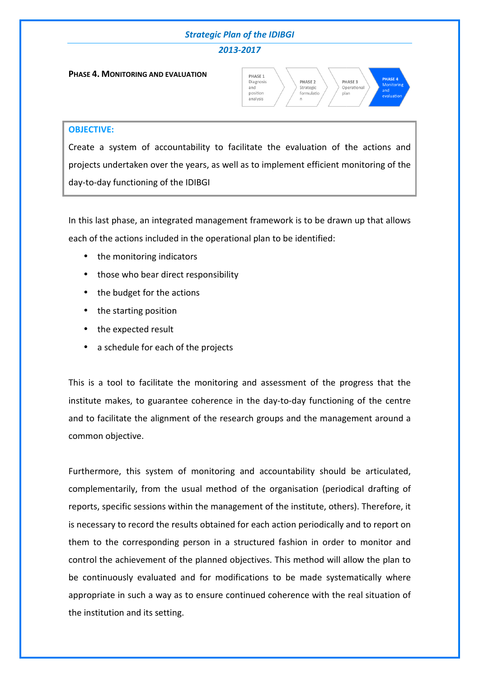## *2013-2017*

#### **PHASE 4. MONITORING AND EVALUA EVALUATION**



## **OBJECTIVE:**

Create a system of accountability to facilitate the evaluation of the actions and projects undertaken over the years, as well as to implement efficient monitoring of the Create a system of accountability<br>projects undertaken over the years,<br>day-to-day functioning of the IDIBGI

In this last phase, an integrated management framework is to be drawn up that allows each of the actions included in the operational plan to be identified:

- the monitoring indicators
- those who bear direct responsibility
- the budget for the actions
- the starting position
- the expected result
- a schedule for each of the projects

This is a tool to facilitate the monitoring and assessment of the progress that the institute makes, to guarantee coherence in the day-to-day functioning of the centre and to facilitate the alignment of the research groups and the management around a common objective. day functioning of the centre<br>nd the management around a<br>ability should be articulated,

Furthermore, this system of monitoring and accountability should be articulated complementarily, from the usual method of the organisation (periodical drafting of reports, specific sessions within the management of the institute, others). Therefore, it is necessary to record the results obtained for each action periodically and to report on them to the corresponding person in a structured fashion in order to monito monitor and control the achievement of the planned objectives. This method will allow the plan to be continuously evaluated and for modifications to be made systematically where appropriate in such a way as to ensure continued coherence with the real situation of the institution and its setting.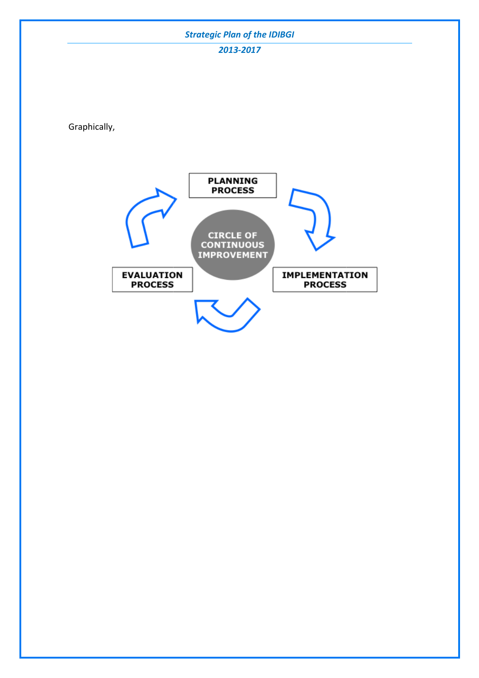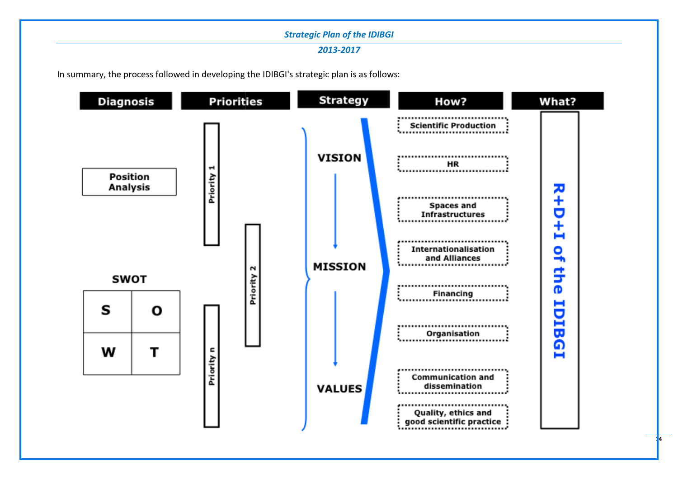#### *2013-2017*

In summary, the process followed in developing the IDIBGI's strategic plan is as follows:



**14**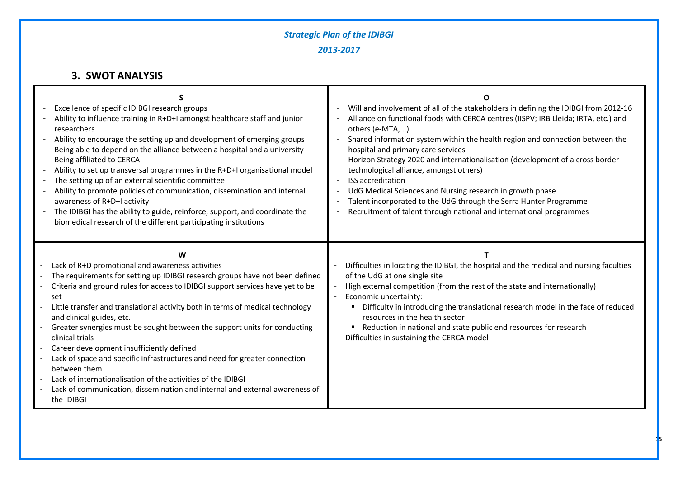# *2013-2017*

# **3. SWOT ANALYSIS**

| Excellence of specific IDIBGI research groups<br>Ability to influence training in R+D+I amongst healthcare staff and junior<br>researchers<br>Ability to encourage the setting up and development of emerging groups<br>Being able to depend on the alliance between a hospital and a university<br>Being affiliated to CERCA<br>Ability to set up transversal programmes in the R+D+I organisational model<br>The setting up of an external scientific committee<br>Ability to promote policies of communication, dissemination and internal<br>awareness of R+D+I activity<br>The IDIBGI has the ability to guide, reinforce, support, and coordinate the<br>$\blacksquare$<br>biomedical research of the different participating institutions      | ŋ<br>Will and involvement of all of the stakeholders in defining the IDIBGI from 2012-16<br>$\blacksquare$<br>Alliance on functional foods with CERCA centres (IISPV; IRB Lleida; IRTA, etc.) and<br>others (e-MTA,)<br>Shared information system within the health region and connection between the<br>hospital and primary care services<br>Horizon Strategy 2020 and internationalisation (development of a cross border<br>technological alliance, amongst others)<br><b>ISS</b> accreditation<br>$\blacksquare$<br>UdG Medical Sciences and Nursing research in growth phase<br>Talent incorporated to the UdG through the Serra Hunter Programme<br>Recruitment of talent through national and international programmes |
|-------------------------------------------------------------------------------------------------------------------------------------------------------------------------------------------------------------------------------------------------------------------------------------------------------------------------------------------------------------------------------------------------------------------------------------------------------------------------------------------------------------------------------------------------------------------------------------------------------------------------------------------------------------------------------------------------------------------------------------------------------|--------------------------------------------------------------------------------------------------------------------------------------------------------------------------------------------------------------------------------------------------------------------------------------------------------------------------------------------------------------------------------------------------------------------------------------------------------------------------------------------------------------------------------------------------------------------------------------------------------------------------------------------------------------------------------------------------------------------------------|
| W<br>Lack of R+D promotional and awareness activities<br>The requirements for setting up IDIBGI research groups have not been defined<br>Criteria and ground rules for access to IDIBGI support services have yet to be<br>set<br>Little transfer and translational activity both in terms of medical technology<br>and clinical guides, etc.<br>Greater synergies must be sought between the support units for conducting<br>clinical trials<br>Career development insufficiently defined<br>Lack of space and specific infrastructures and need for greater connection<br>between them<br>Lack of internationalisation of the activities of the IDIBGI<br>Lack of communication, dissemination and internal and external awareness of<br>the IDIBGI | Difficulties in locating the IDIBGI, the hospital and the medical and nursing faculties<br>of the UdG at one single site<br>High external competition (from the rest of the state and internationally)<br>Economic uncertainty:<br>Difficulty in introducing the translational research model in the face of reduced<br>resources in the health sector<br>Reduction in national and state public end resources for research<br>Difficulties in sustaining the CERCA model                                                                                                                                                                                                                                                      |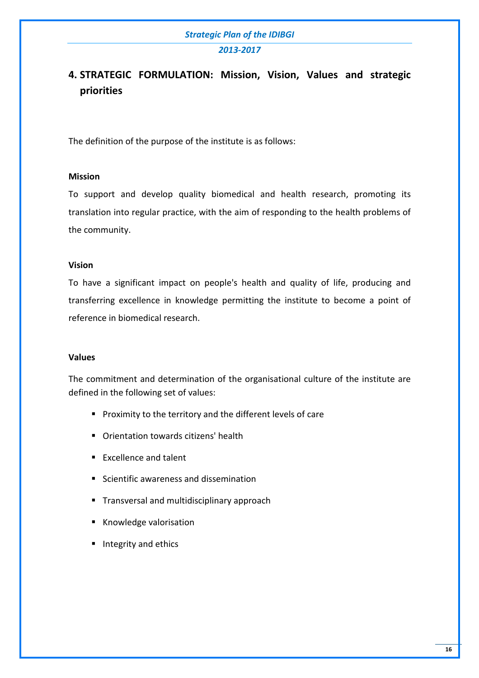#### *2013-2017*

# **4. STRATEGIC FORMULATION: Mission, Vision, Values and strategic priorities**

The definition of the purpose of the institute is as follows:

#### **Mission**

To support and develop quality biomedical and health research, promoting its translation into regular practice, with the aim of responding to the health problems of the community.

#### **Vision**

To have a significant impact on people's health and quality of life, producing and transferring excellence in knowledge permitting the institute to become a point of reference in biomedical research.

#### **Values**

The commitment and determination of the organisational culture of the institute are defined in the following set of values:

- **Proximity to the territory and the different levels of care**
- **•** Orientation towards citizens' health
- **Excellence and talent**
- **E** Scientific awareness and dissemination
- **Transversal and multidisciplinary approach**
- **Knowledge valorisation**
- **Integrity and ethics**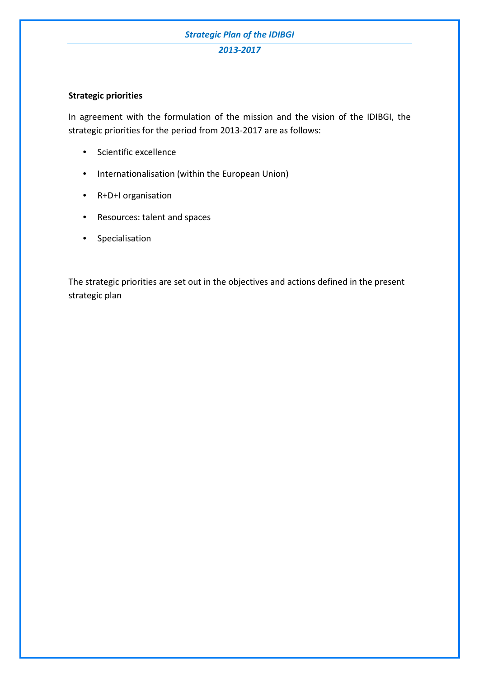*2013-2017*

# **Strategic priorities**

In agreement with the formulation of the mission and the vision of the IDIBGI, the strategic priorities for the period from 2013-2017 are as follows:

- Scientific excellence
- Internationalisation (within the European Union)
- R+D+I organisation
- Resources: talent and spaces
- Specialisation

The strategic priorities are set out in the objectives and actions defined in the present strategic plan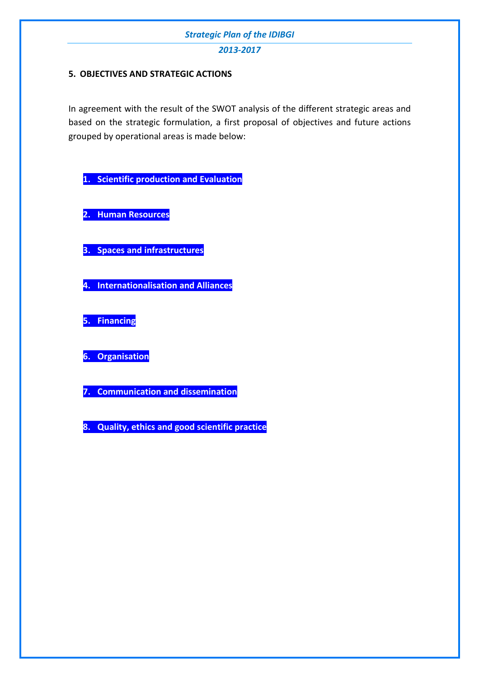*2013-2017*

# **5. OBJECTIVES AND STRATEGIC ACTIONS**

In agreement with the result of the SWOT analysis of the different strategic areas and based on the strategic formulation, a first proposal of objectives and future actions grouped by operational areas is made below:

**1. Scientific production and Evaluation** 

**2. Human Resources** 

**3. Spaces and infrastructures** 

**4. Internationalisation and Alliances** 

**5. Financing** 

**6. Organisation** 

**7. Communication and dissemination** 

**8. Quality, ethics and good scientific practice**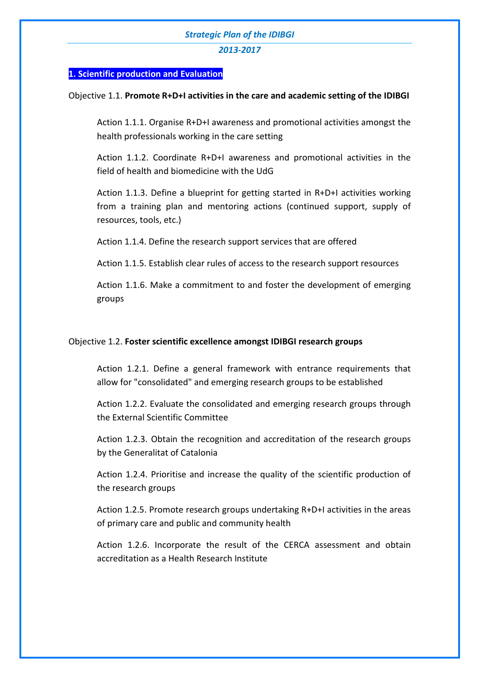#### *2013-2017*

#### **1. Scientific production and Evaluation**

#### Objective 1.1. **Promote R+D+I activities in the care and academic setting of the IDIBGI**

Action 1.1.1. Organise R+D+I awareness and promotional activities amongst the health professionals working in the care setting

Action 1.1.2. Coordinate R+D+I awareness and promotional activities in the field of health and biomedicine with the UdG

Action 1.1.3. Define a blueprint for getting started in R+D+I activities working from a training plan and mentoring actions (continued support, supply of resources, tools, etc.)

Action 1.1.4. Define the research support services that are offered

Action 1.1.5. Establish clear rules of access to the research support resources

Action 1.1.6. Make a commitment to and foster the development of emerging groups

## Objective 1.2. **Foster scientific excellence amongst IDIBGI research groups**

Action 1.2.1. Define a general framework with entrance requirements that allow for "consolidated" and emerging research groups to be established

Action 1.2.2. Evaluate the consolidated and emerging research groups through the External Scientific Committee

Action 1.2.3. Obtain the recognition and accreditation of the research groups by the Generalitat of Catalonia

Action 1.2.4. Prioritise and increase the quality of the scientific production of the research groups

Action 1.2.5. Promote research groups undertaking R+D+I activities in the areas of primary care and public and community health

Action 1.2.6. Incorporate the result of the CERCA assessment and obtain accreditation as a Health Research Institute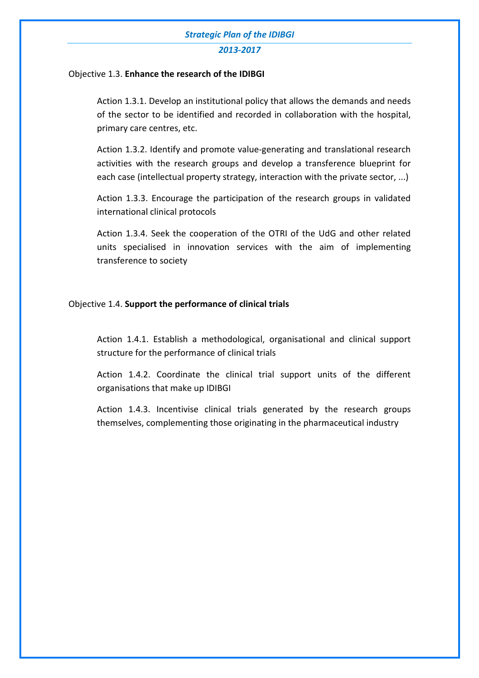*2013-2017*

#### Objective 1.3. **Enhance the research of the IDIBGI**

Action 1.3.1. Develop an institutional policy that allows the demands and needs of the sector to be identified and recorded in collaboration with the hospital, primary care centres, etc.

Action 1.3.2. Identify and promote value-generating and translational research activities with the research groups and develop a transference blueprint for each case (intellectual property strategy, interaction with the private sector, ...)

Action 1.3.3. Encourage the participation of the research groups in validated international clinical protocols

Action 1.3.4. Seek the cooperation of the OTRI of the UdG and other related units specialised in innovation services with the aim of implementing transference to society

# Objective 1.4. **Support the performance of clinical trials**

Action 1.4.1. Establish a methodological, organisational and clinical support structure for the performance of clinical trials

Action 1.4.2. Coordinate the clinical trial support units of the different organisations that make up IDIBGI

Action 1.4.3. Incentivise clinical trials generated by the research groups themselves, complementing those originating in the pharmaceutical industry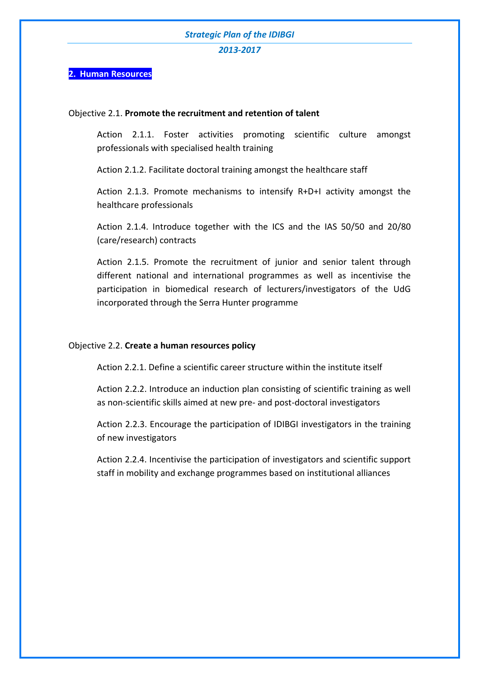*2013-2017*

#### **2. Human Resources**

#### Objective 2.1. **Promote the recruitment and retention of talent**

Action 2.1.1. Foster activities promoting scientific culture amongst professionals with specialised health training

Action 2.1.2. Facilitate doctoral training amongst the healthcare staff

Action 2.1.3. Promote mechanisms to intensify R+D+I activity amongst the healthcare professionals

Action 2.1.4. Introduce together with the ICS and the IAS 50/50 and 20/80 (care/research) contracts

Action 2.1.5. Promote the recruitment of junior and senior talent through different national and international programmes as well as incentivise the participation in biomedical research of lecturers/investigators of the UdG incorporated through the Serra Hunter programme

#### Objective 2.2. **Create a human resources policy**

Action 2.2.1. Define a scientific career structure within the institute itself

Action 2.2.2. Introduce an induction plan consisting of scientific training as well as non-scientific skills aimed at new pre- and post-doctoral investigators

Action 2.2.3. Encourage the participation of IDIBGI investigators in the training of new investigators

Action 2.2.4. Incentivise the participation of investigators and scientific support staff in mobility and exchange programmes based on institutional alliances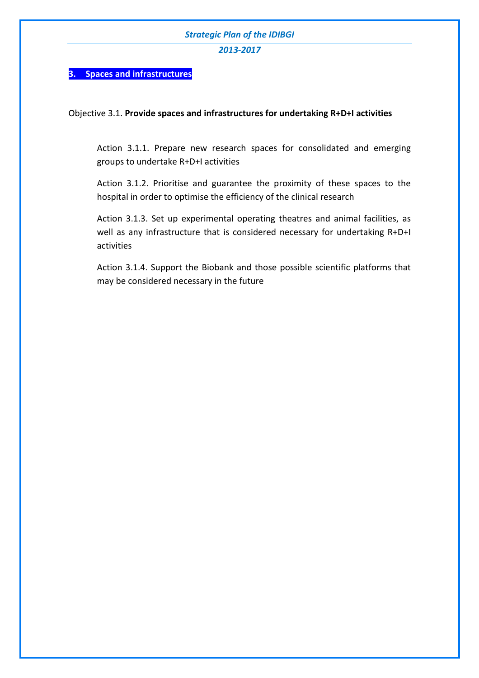*2013-2017*

#### **3. Spaces and infrastructures**

#### Objective 3.1. **Provide spaces and infrastructures for undertaking R+D+I activities**

Action 3.1.1. Prepare new research spaces for consolidated and emerging groups to undertake R+D+I activities

Action 3.1.2. Prioritise and guarantee the proximity of these spaces to the hospital in order to optimise the efficiency of the clinical research

Action 3.1.3. Set up experimental operating theatres and animal facilities, as well as any infrastructure that is considered necessary for undertaking R+D+I activities

Action 3.1.4. Support the Biobank and those possible scientific platforms that may be considered necessary in the future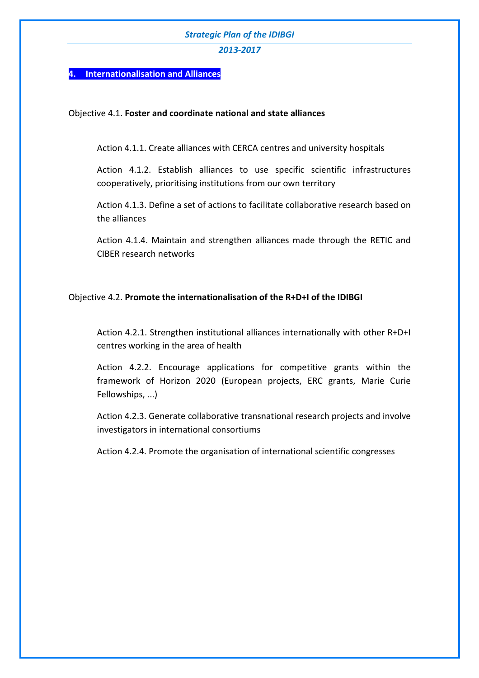*2013-2017*

#### **4. Internationalisation and Alliances**

#### Objective 4.1. **Foster and coordinate national and state alliances**

Action 4.1.1. Create alliances with CERCA centres and university hospitals

Action 4.1.2. Establish alliances to use specific scientific infrastructures cooperatively, prioritising institutions from our own territory

Action 4.1.3. Define a set of actions to facilitate collaborative research based on the alliances

Action 4.1.4. Maintain and strengthen alliances made through the RETIC and CIBER research networks

# Objective 4.2. **Promote the internationalisation of the R+D+I of the IDIBGI**

Action 4.2.1. Strengthen institutional alliances internationally with other R+D+I centres working in the area of health

Action 4.2.2. Encourage applications for competitive grants within the framework of Horizon 2020 (European projects, ERC grants, Marie Curie Fellowships, ...)

Action 4.2.3. Generate collaborative transnational research projects and involve investigators in international consortiums

Action 4.2.4. Promote the organisation of international scientific congresses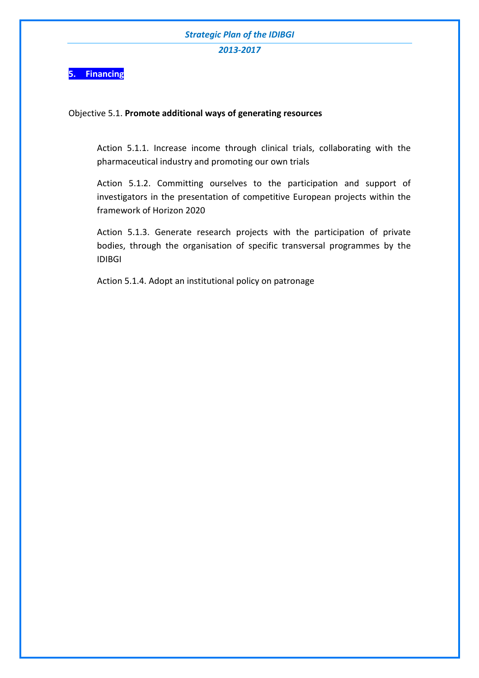*2013-2017*

**5. Financing** 

# Objective 5.1. **Promote additional ways of generating resources**

Action 5.1.1. Increase income through clinical trials, collaborating with the pharmaceutical industry and promoting our own trials

Action 5.1.2. Committing ourselves to the participation and support of investigators in the presentation of competitive European projects within the framework of Horizon 2020

Action 5.1.3. Generate research projects with the participation of private bodies, through the organisation of specific transversal programmes by the IDIBGI

Action 5.1.4. Adopt an institutional policy on patronage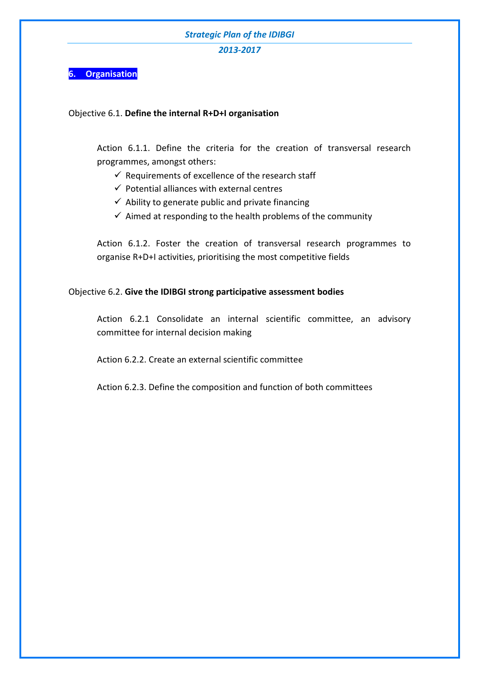*2013-2017*

# **6. Organisation**

# Objective 6.1. **Define the internal R+D+I organisation**

Action 6.1.1. Define the criteria for the creation of transversal research programmes, amongst others:

- $\checkmark$  Requirements of excellence of the research staff
- $\checkmark$  Potential alliances with external centres
- $\checkmark$  Ability to generate public and private financing
- $\checkmark$  Aimed at responding to the health problems of the community

Action 6.1.2. Foster the creation of transversal research programmes to organise R+D+I activities, prioritising the most competitive fields

# Objective 6.2. **Give the IDIBGI strong participative assessment bodies**

Action 6.2.1 Consolidate an internal scientific committee, an advisory committee for internal decision making

Action 6.2.2. Create an external scientific committee

Action 6.2.3. Define the composition and function of both committees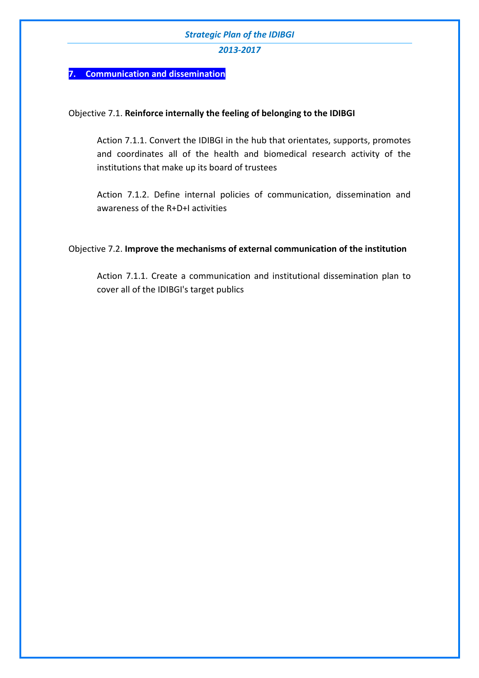*2013-2017*

# **7. Communication and dissemination**

# Objective 7.1. **Reinforce internally the feeling of belonging to the IDIBGI**

Action 7.1.1. Convert the IDIBGI in the hub that orientates, supports, promotes and coordinates all of the health and biomedical research activity of the institutions that make up its board of trustees

Action 7.1.2. Define internal policies of communication, dissemination and awareness of the R+D+I activities

# Objective 7.2. **Improve the mechanisms of external communication of the institution**

Action 7.1.1. Create a communication and institutional dissemination plan to cover all of the IDIBGI's target publics